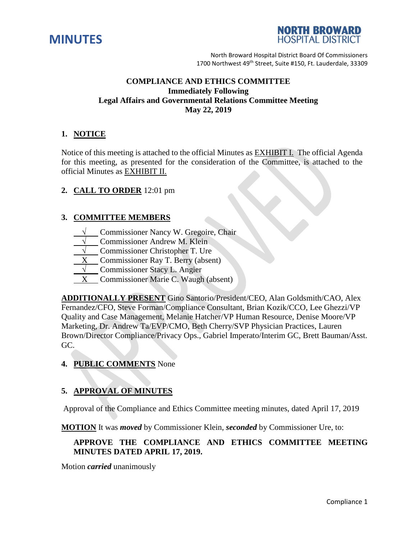



# **COMPLIANCE AND ETHICS COMMITTEE Immediately Following Legal Affairs and Governmental Relations Committee Meeting May 22, 2019**

# **1. NOTICE**

Notice of this meeting is attached to the official Minutes as EXHIBIT I. The official Agenda for this meeting, as presented for the consideration of the Committee, is attached to the official Minutes as EXHIBIT II.

## **2. CALL TO ORDER** 12:01 pm

## **3. COMMITTEE MEMBERS**

- Commissioner Nancy W. Gregoire, Chair
- **Commissioner Andrew M. Klein**
- **Commissioner Christopher T. Ure**
- **Commissioner Ray T. Berry (absent)**
- **Commissioner Stacy L. Angier**
- X Commissioner Marie C. Waugh (absent)

**ADDITIONALLY PRESENT** Gino Santorio/President/CEO, Alan Goldsmith/CAO, Alex Fernandez/CFO, Steve Forman/Compliance Consultant, Brian Kozik/CCO, Lee Ghezzi/VP Quality and Case Management, Melanie Hatcher/VP Human Resource, Denise Moore/VP Marketing, Dr. Andrew Ta/EVP/CMO, Beth Cherry/SVP Physician Practices, Lauren Brown/Director Compliance/Privacy Ops., Gabriel Imperato/Interim GC, Brett Bauman/Asst. GC.

# **4. PUBLIC COMMENTS** None

# **5. APPROVAL OF MINUTES**

Approval of the Compliance and Ethics Committee meeting minutes, dated April 17, 2019

**MOTION** It was *moved* by Commissioner Klein, *seconded* by Commissioner Ure, to:

# **APPROVE THE COMPLIANCE AND ETHICS COMMITTEE MEETING MINUTES DATED APRIL 17, 2019.**

Motion *carried* unanimously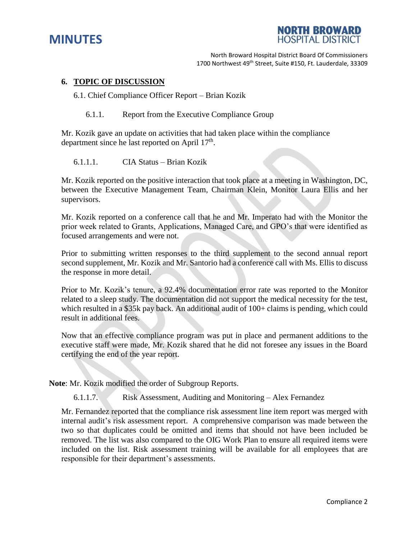



#### **6. TOPIC OF DISCUSSION**

6.1. Chief Compliance Officer Report – Brian Kozik

6.1.1. Report from the Executive Compliance Group

Mr. Kozik gave an update on activities that had taken place within the compliance department since he last reported on April 17<sup>th</sup>.

6.1.1.1. CIA Status – Brian Kozik

Mr. Kozik reported on the positive interaction that took place at a meeting in Washington, DC, between the Executive Management Team, Chairman Klein, Monitor Laura Ellis and her supervisors.

Mr. Kozik reported on a conference call that he and Mr. Imperato had with the Monitor the prior week related to Grants, Applications, Managed Care, and GPO's that were identified as focused arrangements and were not.

Prior to submitting written responses to the third supplement to the second annual report second supplement, Mr. Kozik and Mr. Santorio had a conference call with Ms. Ellis to discuss the response in more detail.

Prior to Mr. Kozik's tenure, a 92.4% documentation error rate was reported to the Monitor related to a sleep study. The documentation did not support the medical necessity for the test, which resulted in a \$35k pay back. An additional audit of 100+ claims is pending, which could result in additional fees.

Now that an effective compliance program was put in place and permanent additions to the executive staff were made, Mr. Kozik shared that he did not foresee any issues in the Board certifying the end of the year report.

**Note**: Mr. Kozik modified the order of Subgroup Reports.

6.1.1.7. Risk Assessment, Auditing and Monitoring – Alex Fernandez

Mr. Fernandez reported that the compliance risk assessment line item report was merged with internal audit's risk assessment report. A comprehensive comparison was made between the two so that duplicates could be omitted and items that should not have been included be removed. The list was also compared to the OIG Work Plan to ensure all required items were included on the list. Risk assessment training will be available for all employees that are responsible for their department's assessments.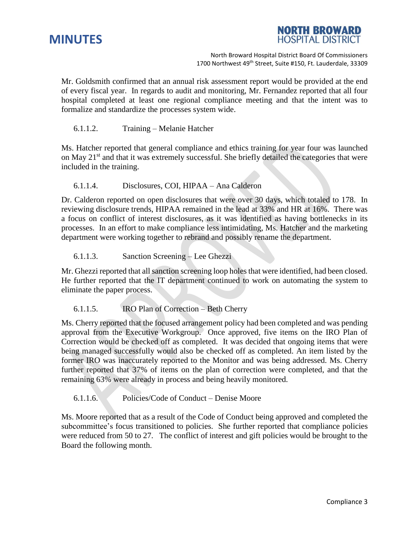



Mr. Goldsmith confirmed that an annual risk assessment report would be provided at the end of every fiscal year. In regards to audit and monitoring, Mr. Fernandez reported that all four hospital completed at least one regional compliance meeting and that the intent was to formalize and standardize the processes system wide.

#### 6.1.1.2. Training – Melanie Hatcher

Ms. Hatcher reported that general compliance and ethics training for year four was launched on May 21<sup>st</sup> and that it was extremely successful. She briefly detailed the categories that were included in the training.

#### 6.1.1.4. Disclosures, COI, HIPAA – Ana Calderon

Dr. Calderon reported on open disclosures that were over 30 days, which totaled to 178. In reviewing disclosure trends, HIPAA remained in the lead at 33% and HR at 16%. There was a focus on conflict of interest disclosures, as it was identified as having bottlenecks in its processes. In an effort to make compliance less intimidating, Ms. Hatcher and the marketing department were working together to rebrand and possibly rename the department.

#### 6.1.1.3. Sanction Screening – Lee Ghezzi

Mr. Ghezzi reported that all sanction screening loop holes that were identified, had been closed. He further reported that the IT department continued to work on automating the system to eliminate the paper process.

# 6.1.1.5. IRO Plan of Correction – Beth Cherry

Ms. Cherry reported that the focused arrangement policy had been completed and was pending approval from the Executive Workgroup. Once approved, five items on the IRO Plan of Correction would be checked off as completed. It was decided that ongoing items that were being managed successfully would also be checked off as completed. An item listed by the former IRO was inaccurately reported to the Monitor and was being addressed. Ms. Cherry further reported that 37% of items on the plan of correction were completed, and that the remaining 63% were already in process and being heavily monitored.

# 6.1.1.6. Policies/Code of Conduct – Denise Moore

Ms. Moore reported that as a result of the Code of Conduct being approved and completed the subcommittee's focus transitioned to policies. She further reported that compliance policies were reduced from 50 to 27. The conflict of interest and gift policies would be brought to the Board the following month.